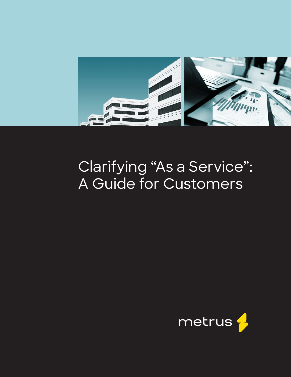

## Clarifying "As a Service": A Guide for Customers

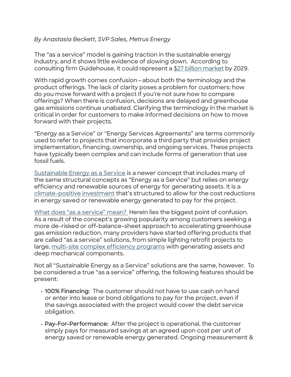## *By Anastasia Beckett, SVP Sales, Metrus Energy*

The "as a service" model is gaining traction in the sustainable energy industry, and it shows little evidence of slowing down. According [to](https://guidehouseinsights.com/reports/market-data-as-a-service-financing-for-energy-solutions) consulting firm Guidehouse, it could represent [a \\$27 billion](https://guidehouseinsights.com/reports/market-data-as-a-service-financing-for-energy-solutions) [market](https://guidehouseinsights.com/reports/market-data-as-a-service-financing-for-energy-solutions) by 2029.

With rapid growth comes confusion—about both the terminology and the product offerings. The lack of clarity poses a problem for customers: how do you move forward with a project if you're not sure how to compare offerings? When there is confusion, decisions are delayed and greenhouse gas emissions continue unabated. Clarifying the terminology in the market is critical in order for customers to make informed decisions on how to move forward with their projects.

"Energy as a Service" or "Energy Services Agreements" are terms commonly used to refer to projects that incorporate a third party that provides project implementation, financing, ownership, and ongoing services. These projects have typically been complex and can include forms of generation that use fossil fuels.

[Sustainable Energy as a Service](https://metrusenergy.com/solutions/) [i](https://metrusenergy.com/solutions/)s a newer concept that includes many of the same structural concepts as "Energy as a Service" but relies on energy efficiency and renewable sources of energy for generating assets. It is a [climate-positive investment](https://www.greenbiz.com/article/committing-climate-positive-project-finance) that's structured to allow for the cost reductions in energy saved or renewable energy generated to pay for the project.

[What does "as a service" mean?](https://www.ase.org/blog/sustainable-energy-service-case-standardization) Herein lies the biggest point of confusion. As a result of the concept's growing popularity among customers seeking a more de-risked or off-balance-sheet approach to accelerating greenhouse gas emission reduction, many providers have started offering products that are called "as a [s](https://metrusenergy.com/case-studies/)ervice" solutions, from simpl[e](https://metrusenergy.com/case-studies/) lighting retrofit projects to large, [multi-site](https://metrusenergy.com/case-studies/) [complex efficiency programs](https://metrusenergy.com/case-studies/) with generating assets and deep mechanical components.

Not all "Sustainable Energy as a Service" solutions are the same, however. To be considered a true "as a service" offering, the following features should be present:

- **• 100% Financing:** The customer should not have to use cash on hand or enter into lease or bond obligations to pay for the project, even if the savings associated with the project would cover the debt service obligation.
- **• Pay-For-Performance:** After the project is operational, the customer simply pays for measured savings at an agreed upon cost per unit of energy saved or renewable energy generated. Ongoing measurement &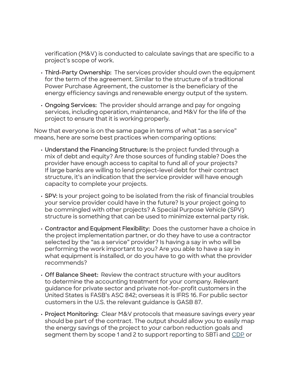verification (M&V) is conducted to calculate savings that are specific to a project's scope of work.

- **• Third-Party Ownership:** The services provider should own the equipment for the term of the agreement. Similar to the structure of a traditional Power Purchase Agreement, the customer is the beneficiary of the energy efficiency savings and renewable energy output of the system.
- **• Ongoing Services:** The provider should arrange and pay for ongoing services, including operation, maintenance, and M&V for the life of the project to ensure that it is working properly.

Now that everyone is on the same page in terms of what "as a service" means, here are some best practices when comparing options:

- **• Understand the Financing Structure:** Is the project funded through a mix of debt and equity? Are those sources of funding stable? Does the provider have enough access to capital to fund all of your projects? If large banks are willing to lend project-level debt for their contract structure, it's an indication that the service provider will have enough capacity to complete your projects.
- **• SPV:** Is your project going to be isolated from the risk of financial troubles your service provider could have in the future? Is your project going to be commingled with other projects? A Special Purpose Vehicle (SPV) structure is something that can be used to minimize external party risk.
- **• Contractor and Equipment Flexibility:** Does the customer have a choice in the project implementation partner, or do they have to use a contractor selected by the "as a service" provider? Is having a say in who will be performing the work important to you? Are you able to have a say in what equipment is installed, or do you have to go with what the provider recommends?
- **• Off Balance Sheet:** Review the contract structure with your auditors to determine the accounting treatment for your company. Relevant guidance for private sector and private not-for-profit customers in the United States is FASB's ASC 842; overseas it is IFRS 16. For public sector customers in the U.S. the relevant guidance is GASB 87.
- **• Project Monitoring:** Clear M&V protocols that measure savings every year should be part of the contract. The output should allow you to easily map the energy savings of the project to your carbon reduction goals and segment them by scope 1 and 2 to support reporting to SBTi and [CDP](https://www.cdp.net/en) [o](https://www.cdp.net/en)r